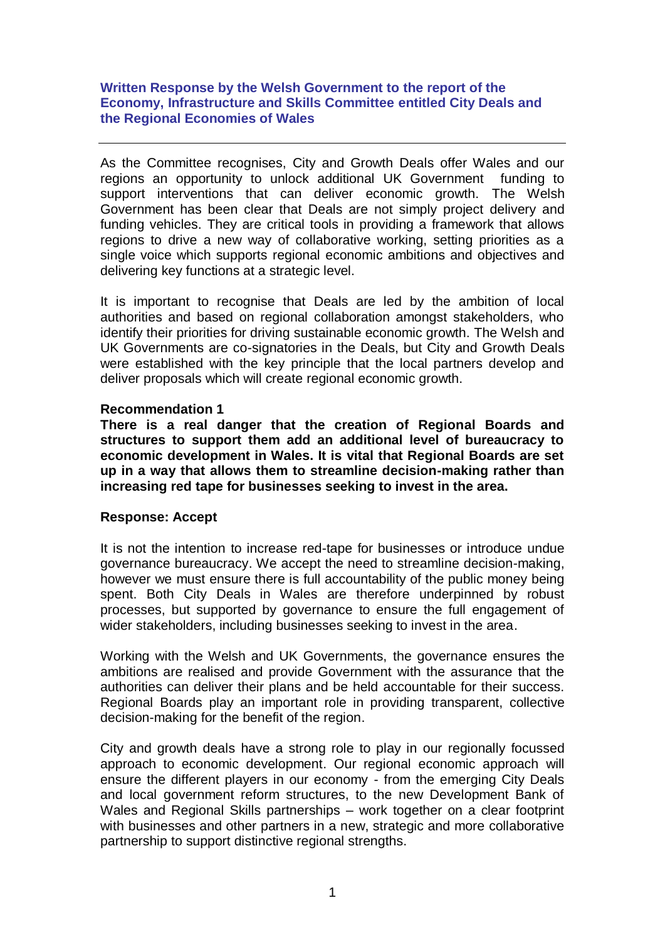## **Written Response by the Welsh Government to the report of the Economy, Infrastructure and Skills Committee entitled City Deals and the Regional Economies of Wales**

As the Committee recognises, City and Growth Deals offer Wales and our regions an opportunity to unlock additional UK Government funding to support interventions that can deliver economic growth. The Welsh Government has been clear that Deals are not simply project delivery and funding vehicles. They are critical tools in providing a framework that allows regions to drive a new way of collaborative working, setting priorities as a single voice which supports regional economic ambitions and objectives and delivering key functions at a strategic level.

It is important to recognise that Deals are led by the ambition of local authorities and based on regional collaboration amongst stakeholders, who identify their priorities for driving sustainable economic growth. The Welsh and UK Governments are co-signatories in the Deals, but City and Growth Deals were established with the key principle that the local partners develop and deliver proposals which will create regional economic growth.

# **Recommendation 1**

**There is a real danger that the creation of Regional Boards and structures to support them add an additional level of bureaucracy to economic development in Wales. It is vital that Regional Boards are set up in a way that allows them to streamline decision-making rather than increasing red tape for businesses seeking to invest in the area.** 

### **Response: Accept**

It is not the intention to increase red-tape for businesses or introduce undue governance bureaucracy. We accept the need to streamline decision-making, however we must ensure there is full accountability of the public money being spent. Both City Deals in Wales are therefore underpinned by robust processes, but supported by governance to ensure the full engagement of wider stakeholders, including businesses seeking to invest in the area.

Working with the Welsh and UK Governments, the governance ensures the ambitions are realised and provide Government with the assurance that the authorities can deliver their plans and be held accountable for their success. Regional Boards play an important role in providing transparent, collective decision-making for the benefit of the region.

City and growth deals have a strong role to play in our regionally focussed approach to economic development. Our regional economic approach will ensure the different players in our economy - from the emerging City Deals and local government reform structures, to the new Development Bank of Wales and Regional Skills partnerships – work together on a clear footprint with businesses and other partners in a new, strategic and more collaborative partnership to support distinctive regional strengths.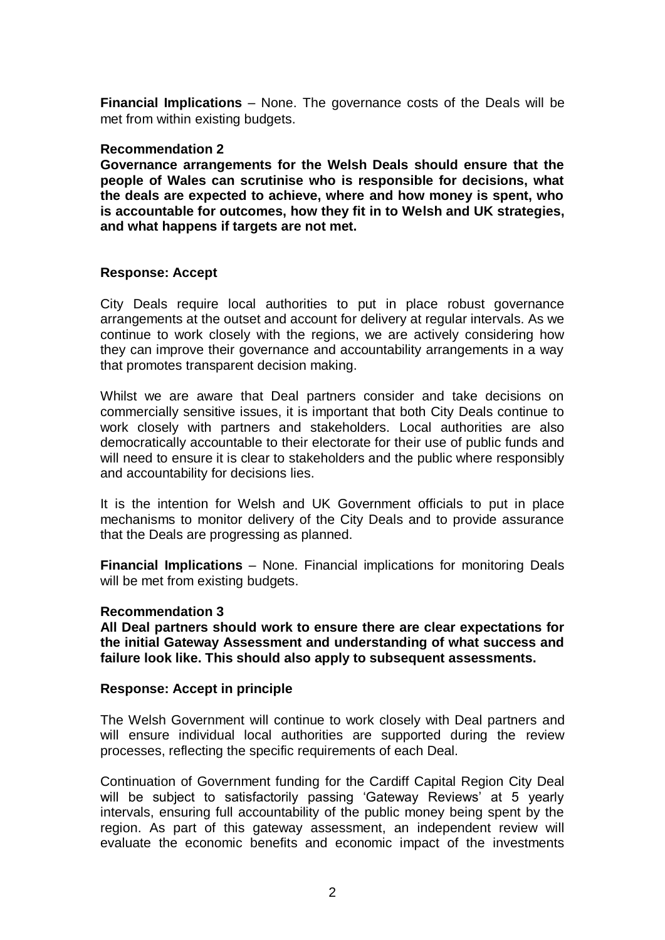**Financial Implications** – None. The governance costs of the Deals will be met from within existing budgets.

### **Recommendation 2**

**Governance arrangements for the Welsh Deals should ensure that the people of Wales can scrutinise who is responsible for decisions, what the deals are expected to achieve, where and how money is spent, who is accountable for outcomes, how they fit in to Welsh and UK strategies, and what happens if targets are not met.** 

### **Response: Accept**

City Deals require local authorities to put in place robust governance arrangements at the outset and account for delivery at regular intervals. As we continue to work closely with the regions, we are actively considering how they can improve their governance and accountability arrangements in a way that promotes transparent decision making.

Whilst we are aware that Deal partners consider and take decisions on commercially sensitive issues, it is important that both City Deals continue to work closely with partners and stakeholders. Local authorities are also democratically accountable to their electorate for their use of public funds and will need to ensure it is clear to stakeholders and the public where responsibly and accountability for decisions lies.

It is the intention for Welsh and UK Government officials to put in place mechanisms to monitor delivery of the City Deals and to provide assurance that the Deals are progressing as planned.

**Financial Implications** – None. Financial implications for monitoring Deals will be met from existing budgets.

### **Recommendation 3**

**All Deal partners should work to ensure there are clear expectations for the initial Gateway Assessment and understanding of what success and failure look like. This should also apply to subsequent assessments.** 

### **Response: Accept in principle**

The Welsh Government will continue to work closely with Deal partners and will ensure individual local authorities are supported during the review processes, reflecting the specific requirements of each Deal.

Continuation of Government funding for the Cardiff Capital Region City Deal will be subject to satisfactorily passing 'Gateway Reviews' at 5 yearly intervals, ensuring full accountability of the public money being spent by the region. As part of this gateway assessment, an independent review will evaluate the economic benefits and economic impact of the investments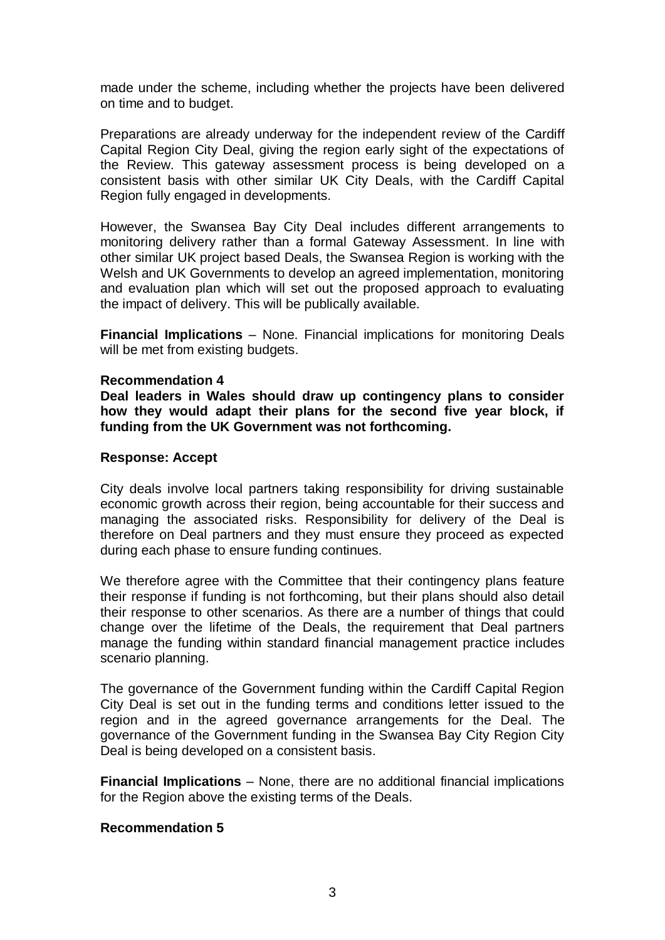made under the scheme, including whether the projects have been delivered on time and to budget.

Preparations are already underway for the independent review of the Cardiff Capital Region City Deal, giving the region early sight of the expectations of the Review. This gateway assessment process is being developed on a consistent basis with other similar UK City Deals, with the Cardiff Capital Region fully engaged in developments.

However, the Swansea Bay City Deal includes different arrangements to monitoring delivery rather than a formal Gateway Assessment. In line with other similar UK project based Deals, the Swansea Region is working with the Welsh and UK Governments to develop an agreed implementation, monitoring and evaluation plan which will set out the proposed approach to evaluating the impact of delivery. This will be publically available.

**Financial Implications** – None. Financial implications for monitoring Deals will be met from existing budgets.

### **Recommendation 4**

**Deal leaders in Wales should draw up contingency plans to consider how they would adapt their plans for the second five year block, if funding from the UK Government was not forthcoming.**

## **Response: Accept**

City deals involve local partners taking responsibility for driving sustainable economic growth across their region, being accountable for their success and managing the associated risks. Responsibility for delivery of the Deal is therefore on Deal partners and they must ensure they proceed as expected during each phase to ensure funding continues.

We therefore agree with the Committee that their contingency plans feature their response if funding is not forthcoming, but their plans should also detail their response to other scenarios. As there are a number of things that could change over the lifetime of the Deals, the requirement that Deal partners manage the funding within standard financial management practice includes scenario planning.

The governance of the Government funding within the Cardiff Capital Region City Deal is set out in the funding terms and conditions letter issued to the region and in the agreed governance arrangements for the Deal. The governance of the Government funding in the Swansea Bay City Region City Deal is being developed on a consistent basis.

**Financial Implications** – None, there are no additional financial implications for the Region above the existing terms of the Deals.

### **Recommendation 5**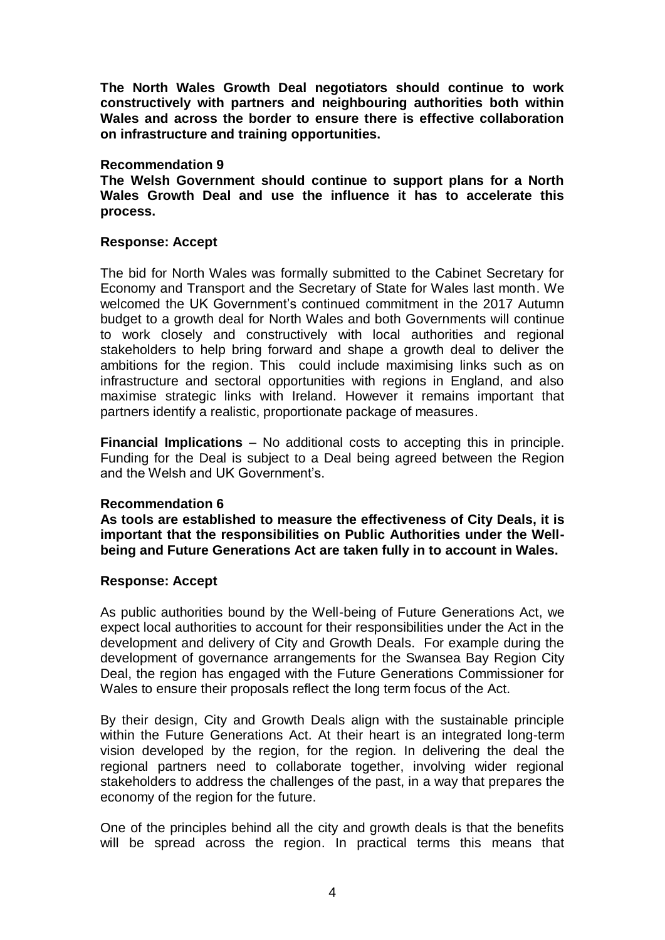**The North Wales Growth Deal negotiators should continue to work constructively with partners and neighbouring authorities both within Wales and across the border to ensure there is effective collaboration on infrastructure and training opportunities.** 

### **Recommendation 9**

**The Welsh Government should continue to support plans for a North Wales Growth Deal and use the influence it has to accelerate this process.** 

## **Response: Accept**

The bid for North Wales was formally submitted to the Cabinet Secretary for Economy and Transport and the Secretary of State for Wales last month. We welcomed the UK Government's continued commitment in the 2017 Autumn budget to a growth deal for North Wales and both Governments will continue to work closely and constructively with local authorities and regional stakeholders to help bring forward and shape a growth deal to deliver the ambitions for the region. This could include maximising links such as on infrastructure and sectoral opportunities with regions in England, and also maximise strategic links with Ireland. However it remains important that partners identify a realistic, proportionate package of measures.

**Financial Implications** – No additional costs to accepting this in principle. Funding for the Deal is subject to a Deal being agreed between the Region and the Welsh and UK Government's.

# **Recommendation 6**

**As tools are established to measure the effectiveness of City Deals, it is important that the responsibilities on Public Authorities under the Wellbeing and Future Generations Act are taken fully in to account in Wales.** 

# **Response: Accept**

As public authorities bound by the Well-being of Future Generations Act, we expect local authorities to account for their responsibilities under the Act in the development and delivery of City and Growth Deals. For example during the development of governance arrangements for the Swansea Bay Region City Deal, the region has engaged with the Future Generations Commissioner for Wales to ensure their proposals reflect the long term focus of the Act.

By their design, City and Growth Deals align with the sustainable principle within the Future Generations Act. At their heart is an integrated long-term vision developed by the region, for the region. In delivering the deal the regional partners need to collaborate together, involving wider regional stakeholders to address the challenges of the past, in a way that prepares the economy of the region for the future.

One of the principles behind all the city and growth deals is that the benefits will be spread across the region. In practical terms this means that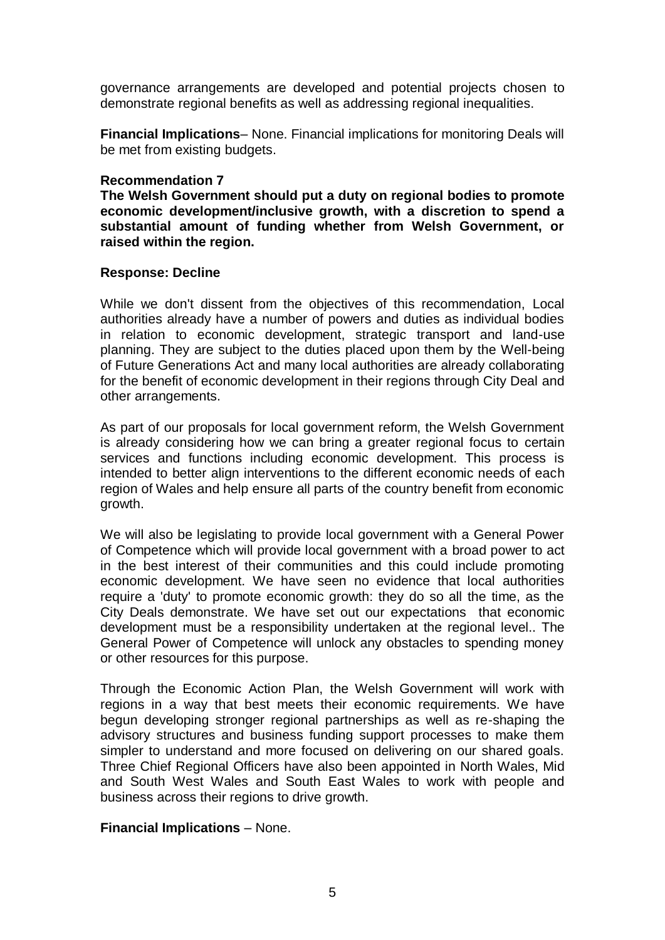governance arrangements are developed and potential projects chosen to demonstrate regional benefits as well as addressing regional inequalities.

**Financial Implications**– None. Financial implications for monitoring Deals will be met from existing budgets.

### **Recommendation 7**

**The Welsh Government should put a duty on regional bodies to promote economic development/inclusive growth, with a discretion to spend a substantial amount of funding whether from Welsh Government, or raised within the region.** 

## **Response: Decline**

While we don't dissent from the objectives of this recommendation, Local authorities already have a number of powers and duties as individual bodies in relation to economic development, strategic transport and land-use planning. They are subject to the duties placed upon them by the Well-being of Future Generations Act and many local authorities are already collaborating for the benefit of economic development in their regions through City Deal and other arrangements.

As part of our proposals for local government reform, the Welsh Government is already considering how we can bring a greater regional focus to certain services and functions including economic development. This process is intended to better align interventions to the different economic needs of each region of Wales and help ensure all parts of the country benefit from economic growth.

We will also be legislating to provide local government with a General Power of Competence which will provide local government with a broad power to act in the best interest of their communities and this could include promoting economic development. We have seen no evidence that local authorities require a 'duty' to promote economic growth: they do so all the time, as the City Deals demonstrate. We have set out our expectations that economic development must be a responsibility undertaken at the regional level.. The General Power of Competence will unlock any obstacles to spending money or other resources for this purpose.

Through the Economic Action Plan, the Welsh Government will work with regions in a way that best meets their economic requirements. We have begun developing stronger regional partnerships as well as re-shaping the advisory structures and business funding support processes to make them simpler to understand and more focused on delivering on our shared goals. Three Chief Regional Officers have also been appointed in North Wales, Mid and South West Wales and South East Wales to work with people and business across their regions to drive growth.

# **Financial Implications** – None.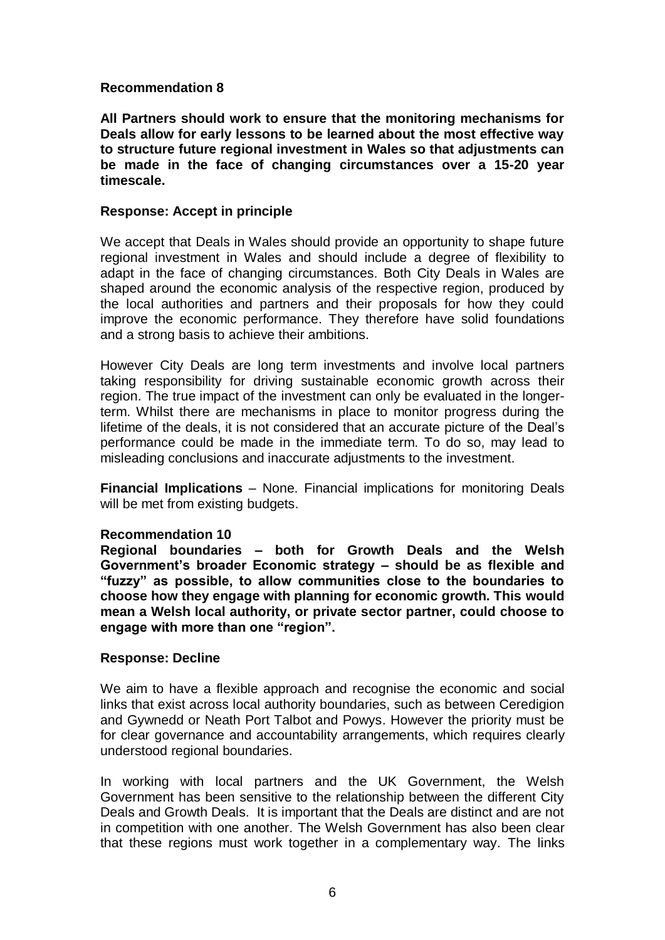## **Recommendation 8**

**All Partners should work to ensure that the monitoring mechanisms for Deals allow for early lessons to be learned about the most effective way to structure future regional investment in Wales so that adjustments can be made in the face of changing circumstances over a 15-20 year timescale.** 

## **Response: Accept in principle**

We accept that Deals in Wales should provide an opportunity to shape future regional investment in Wales and should include a degree of flexibility to adapt in the face of changing circumstances. Both City Deals in Wales are shaped around the economic analysis of the respective region, produced by the local authorities and partners and their proposals for how they could improve the economic performance. They therefore have solid foundations and a strong basis to achieve their ambitions.

However City Deals are long term investments and involve local partners taking responsibility for driving sustainable economic growth across their region. The true impact of the investment can only be evaluated in the longerterm. Whilst there are mechanisms in place to monitor progress during the lifetime of the deals, it is not considered that an accurate picture of the Deal's performance could be made in the immediate term. To do so, may lead to misleading conclusions and inaccurate adjustments to the investment.

**Financial Implications** – None. Financial implications for monitoring Deals will be met from existing budgets.

### **Recommendation 10**

**Regional boundaries – both for Growth Deals and the Welsh Government's broader Economic strategy – should be as flexible and "fuzzy" as possible, to allow communities close to the boundaries to choose how they engage with planning for economic growth. This would mean a Welsh local authority, or private sector partner, could choose to engage with more than one "region".** 

### **Response: Decline**

We aim to have a flexible approach and recognise the economic and social links that exist across local authority boundaries, such as between Ceredigion and Gywnedd or Neath Port Talbot and Powys. However the priority must be for clear governance and accountability arrangements, which requires clearly understood regional boundaries.

In working with local partners and the UK Government, the Welsh Government has been sensitive to the relationship between the different City Deals and Growth Deals. It is important that the Deals are distinct and are not in competition with one another. The Welsh Government has also been clear that these regions must work together in a complementary way. The links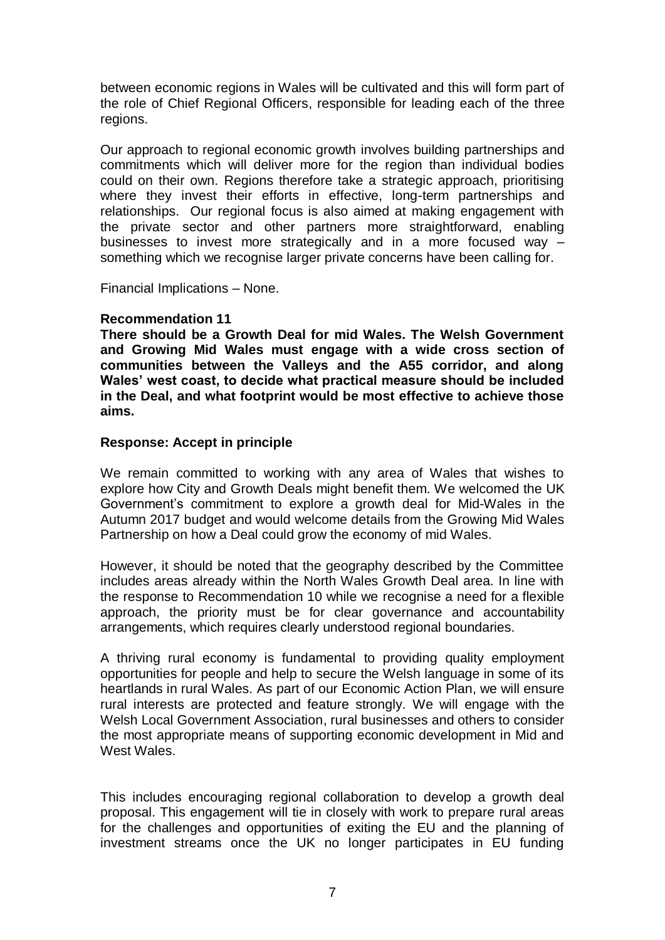between economic regions in Wales will be cultivated and this will form part of the role of Chief Regional Officers, responsible for leading each of the three regions.

Our approach to regional economic growth involves building partnerships and commitments which will deliver more for the region than individual bodies could on their own. Regions therefore take a strategic approach, prioritising where they invest their efforts in effective, long-term partnerships and relationships. Our regional focus is also aimed at making engagement with the private sector and other partners more straightforward, enabling businesses to invest more strategically and in a more focused way – something which we recognise larger private concerns have been calling for.

Financial Implications – None.

# **Recommendation 11**

**There should be a Growth Deal for mid Wales. The Welsh Government and Growing Mid Wales must engage with a wide cross section of communities between the Valleys and the A55 corridor, and along Wales' west coast, to decide what practical measure should be included in the Deal, and what footprint would be most effective to achieve those aims.**

## **Response: Accept in principle**

We remain committed to working with any area of Wales that wishes to explore how City and Growth Deals might benefit them. We welcomed the UK Government's commitment to explore a growth deal for Mid-Wales in the Autumn 2017 budget and would welcome details from the Growing Mid Wales Partnership on how a Deal could grow the economy of mid Wales.

However, it should be noted that the geography described by the Committee includes areas already within the North Wales Growth Deal area. In line with the response to Recommendation 10 while we recognise a need for a flexible approach, the priority must be for clear governance and accountability arrangements, which requires clearly understood regional boundaries.

A thriving rural economy is fundamental to providing quality employment opportunities for people and help to secure the Welsh language in some of its heartlands in rural Wales. As part of our Economic Action Plan, we will ensure rural interests are protected and feature strongly. We will engage with the Welsh Local Government Association, rural businesses and others to consider the most appropriate means of supporting economic development in Mid and West Wales.

This includes encouraging regional collaboration to develop a growth deal proposal. This engagement will tie in closely with work to prepare rural areas for the challenges and opportunities of exiting the EU and the planning of investment streams once the UK no longer participates in EU funding